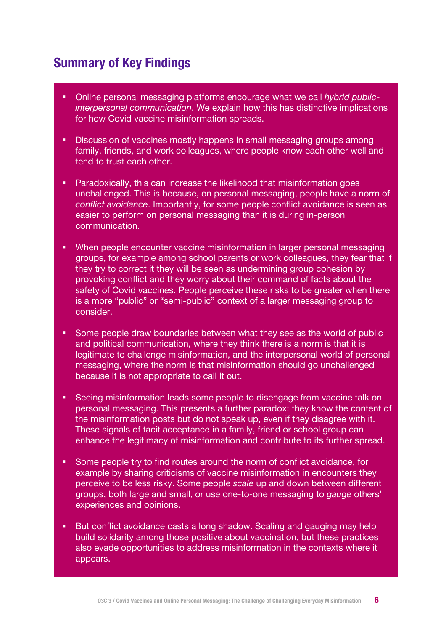## **Summary of Key Findings**

- § Online personal messaging platforms encourage what we call *hybrid publicinterpersonal communication*. We explain how this has distinctive implications for how Covid vaccine misinformation spreads.
- Discussion of vaccines mostly happens in small messaging groups among family, friends, and work colleagues, where people know each other well and tend to trust each other.
- **Paradoxically, this can increase the likelihood that misinformation goes** unchallenged. This is because, on personal messaging, people have a norm of *conflict avoidance*. Importantly, for some people conflict avoidance is seen as easier to perform on personal messaging than it is during in-person communication.
- § When people encounter vaccine misinformation in larger personal messaging groups, for example among school parents or work colleagues, they fear that if they try to correct it they will be seen as undermining group cohesion by provoking conflict and they worry about their command of facts about the safety of Covid vaccines. People perceive these risks to be greater when there is a more "public" or "semi-public" context of a larger messaging group to consider.
- Some people draw boundaries between what they see as the world of public and political communication, where they think there is a norm is that it is legitimate to challenge misinformation, and the interpersonal world of personal messaging, where the norm is that misinformation should go unchallenged because it is not appropriate to call it out.
- § Seeing misinformation leads some people to disengage from vaccine talk on personal messaging. This presents a further paradox: they know the content of the misinformation posts but do not speak up, even if they disagree with it. These signals of tacit acceptance in a family, friend or school group can enhance the legitimacy of misinformation and contribute to its further spread.
- § Some people try to find routes around the norm of conflict avoidance, for example by sharing criticisms of vaccine misinformation in encounters they perceive to be less risky. Some people *scale* up and down between different groups, both large and small, or use one-to-one messaging to *gauge* others' experiences and opinions.
- But conflict avoidance casts a long shadow. Scaling and gauging may help build solidarity among those positive about vaccination, but these practices also evade opportunities to address misinformation in the contexts where it appears.